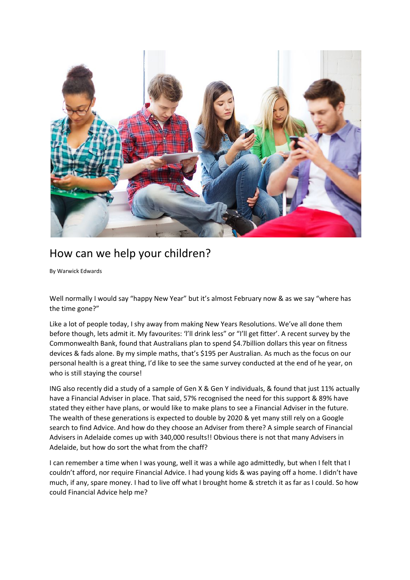

## How can we help your children?

By Warwick Edwards

Well normally I would say "happy New Year" but it's almost February now & as we say "where has the time gone?"

Like a lot of people today, I shy away from making New Years Resolutions. We've all done them before though, lets admit it. My favourites: 'I'll drink less" or "I'll get fitter'. A recent survey by the Commonwealth Bank, found that Australians plan to spend \$4.7billion dollars this year on fitness devices & fads alone. By my simple maths, that's \$195 per Australian. As much as the focus on our personal health is a great thing, I'd like to see the same survey conducted at the end of he year, on who is still staying the course!

ING also recently did a study of a sample of Gen X & Gen Y individuals, & found that just 11% actually have a Financial Adviser in place. That said, 57% recognised the need for this support & 89% have stated they either have plans, or would like to make plans to see a Financial Adviser in the future. The wealth of these generations is expected to double by 2020 & yet many still rely on a Google search to find Advice. And how do they choose an Adviser from there? A simple search of Financial Advisers in Adelaide comes up with 340,000 results!! Obvious there is not that many Advisers in Adelaide, but how do sort the what from the chaff?

I can remember a time when I was young, well it was a while ago admittedly, but when I felt that I couldn't afford, nor require Financial Advice. I had young kids & was paying off a home. I didn't have much, if any, spare money. I had to live off what I brought home & stretch it as far as I could. So how could Financial Advice help me?